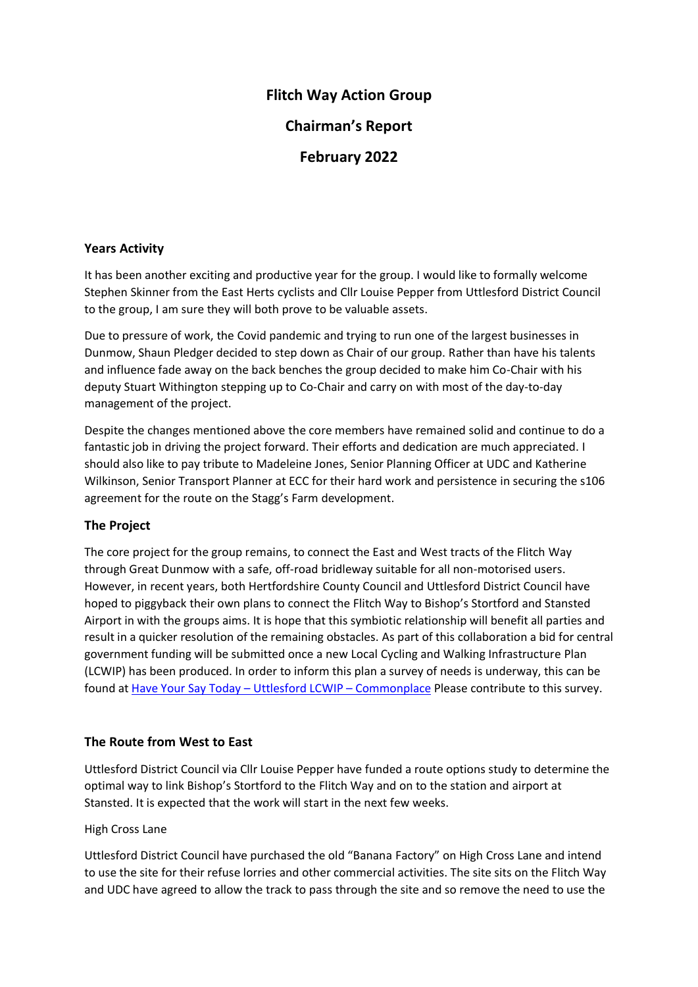# **Flitch Way Action Group**

**Chairman's Report** 

**February 2022**

## **Years Activity**

It has been another exciting and productive year for the group. I would like to formally welcome Stephen Skinner from the East Herts cyclists and Cllr Louise Pepper from Uttlesford District Council to the group, I am sure they will both prove to be valuable assets.

Due to pressure of work, the Covid pandemic and trying to run one of the largest businesses in Dunmow, Shaun Pledger decided to step down as Chair of our group. Rather than have his talents and influence fade away on the back benches the group decided to make him Co-Chair with his deputy Stuart Withington stepping up to Co-Chair and carry on with most of the day-to-day management of the project.

Despite the changes mentioned above the core members have remained solid and continue to do a fantastic job in driving the project forward. Their efforts and dedication are much appreciated. I should also like to pay tribute to Madeleine Jones, Senior Planning Officer at UDC and Katherine Wilkinson, Senior Transport Planner at ECC for their hard work and persistence in securing the s106 agreement for the route on the Stagg's Farm development.

## **The Project**

The core project for the group remains, to connect the East and West tracts of the Flitch Way through Great Dunmow with a safe, off-road bridleway suitable for all non-motorised users. However, in recent years, both Hertfordshire County Council and Uttlesford District Council have hoped to piggyback their own plans to connect the Flitch Way to Bishop's Stortford and Stansted Airport in with the groups aims. It is hope that this symbiotic relationship will benefit all parties and result in a quicker resolution of the remaining obstacles. As part of this collaboration a bid for central government funding will be submitted once a new Local Cycling and Walking Infrastructure Plan (LCWIP) has been produced. In order to inform this plan a survey of needs is underway, this can be found at [Have Your Say Today](https://uttlesfordlcwip.commonplace.is/) – Uttlesford LCWIP – Commonplace Please contribute to this survey.

## **The Route from West to East**

Uttlesford District Council via Cllr Louise Pepper have funded a route options study to determine the optimal way to link Bishop's Stortford to the Flitch Way and on to the station and airport at Stansted. It is expected that the work will start in the next few weeks.

## High Cross Lane

Uttlesford District Council have purchased the old "Banana Factory" on High Cross Lane and intend to use the site for their refuse lorries and other commercial activities. The site sits on the Flitch Way and UDC have agreed to allow the track to pass through the site and so remove the need to use the